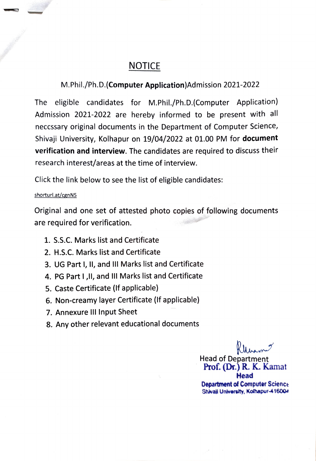# NOTICE

## M.Phil./Ph.D.(Computer Application)Admission 2021-2022

The eligible candidates for M.Phil./Ph.D.(Computer Application) Admission 2021-2022 are hereby informed to be present with all neccssary original documents in the Department of Computer Science, Shivaji University, Kolhapur on 19/04/2022 at 01.00 PM for document verification and interview. The candidates are required to discuss their research interest/areas at the time of interview.

Click the link below to see the list of eligible candidates

### shorturl.at/cgnNS

Original and one set of attested photo copies of following documents are required for verification.

- 1. S.S.C. Marks list and Certificate
- 2. H.S.C. Marks list and Certificate
- 3. UG Part 1, 11, and lIll Marks list and Certificate
- 4. PG Part I , II, and III Marks list and Certificate
- 5. Caste Certificate (lf applicable)
- 6. Non-creamy layer Certificate (If applicable)
- 7. Annexure III Input Sheet
- 8. Any other relevant educational documents

Head of Department Prof. (Dr.) R. K. Kamat Head Department of Computer Science Shivail University, Kolhapur-416004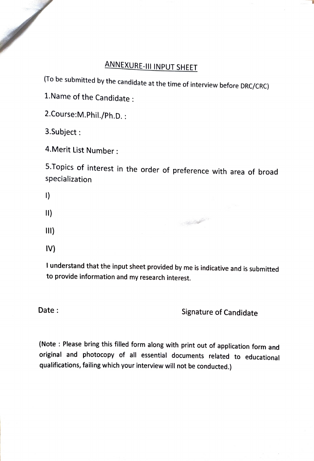# ANNEXURE-1II INPUT SHEET

(To be submitted by the candidate at the time of interview before DRC/CRC)

1.Name of the Candidate

2.Course:M.Phil./Ph.D.

3.Subject

4.Merit List Number

5.Topics of interest in the order of preference with area of broad specialization

 $\mathsf{I}$ 

**Contract Contract Contract Contract Contract Contract Contract Contract Contract Contract Contract Contract Contract Contract Contract Contract Contract Contract Contract Contract Contract Contract Contract Contract Contr** 

 $\mathbf{II}$ 

 $III)$ 

 $IV)$ 

lunderstand that the input sheet provided by me is indicative and is submitted to provide information and my research interest.

# Date : Signature of Candidate

(Note : Please bring this filled form along with print out of application form and original and photocopy of all essential documents related to educational qualifications, failing which your interview will not be conducted.)